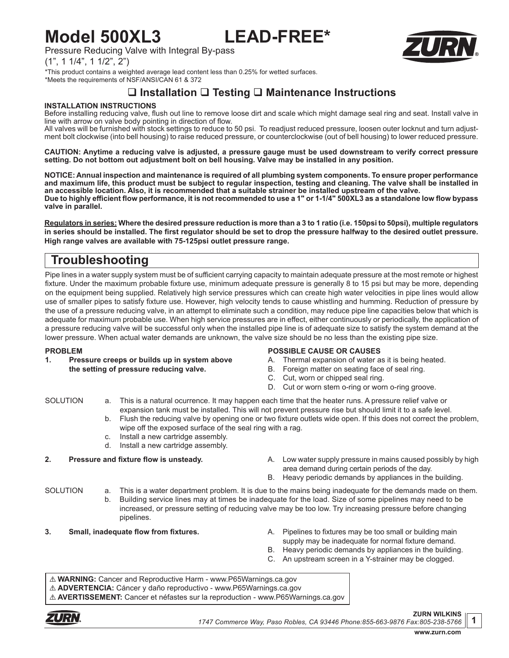# **Model 500XL3 LEAD-FREE\***

Pressure Reducing Valve with Integral By-pass

 $(1", 1 \ 1/4", 1 \ 1/2", 2")$ 

\*This product contains a weighted average lead content less than 0.25% for wetted surfaces. \*Meets the requirements of NSF/ANSI/CAN 61 & 372

## **Installation Testing Maintenance Instructions**

## **INSTALLATION INSTRUCTIONS**

Before installing reducing valve, flush out line to remove loose dirt and scale which might damage seal ring and seat. Install valve in line with arrow on valve body pointing in direction of flow.

All valves will be furnished with stock settings to reduce to 50 psi. To readjust reduced pressure, loosen outer locknut and turn adjustment bolt clockwise (into bell housing) to raise reduced pressure, or counterclockwise (out of bell housing) to lower reduced pressure.

**CAUTION: Anytime a reducing valve is adjusted, a pressure gauge must be used downstream to verify correct pressure setting. Do not bottom out adjustment bolt on bell housing. Valve may be installed in any position.**

**NOTICE: Annual inspection and maintenance is required of all plumbing system components. To ensure proper performance and maximum life, this product must be subject to regular inspection, testing and cleaning. The valve shall be installed in an accessible location. Also, it is recommended that a suitable strainer be installed upstream of the valve. Due to highly efficient flow performance, it is not recommended to use a 1" or 1-1/4" 500XL3 as a standalone low flow bypass valve in parallel.**

**Regulators in series: Where the desired pressure reduction is more than a 3 to 1 ratio (i.e. 150psi to 50psi), multiple regulators in series should be installed. The first regulator should be set to drop the pressure halfway to the desired outlet pressure. High range valves are available with 75-125psi outlet pressure range.**

## **Troubleshooting**

Pipe lines in a water supply system must be of sufficient carrying capacity to maintain adequate pressure at the most remote or highest fixture. Under the maximum probable fixture use, minimum adequate pressure is generally 8 to 15 psi but may be more, depending on the equipment being supplied. Relatively high service pressures which can create high water velocities in pipe lines would allow use of smaller pipes to satisfy fixture use. However, high velocity tends to cause whistling and humming. Reduction of pressure by the use of a pressure reducing valve, in an attempt to eliminate such a condition, may reduce pipe line capacities below that which is adequate for maximum probable use. When high service pressures are in effect, either continuously or periodically, the application of a pressure reducing valve will be successful only when the installed pipe line is of adequate size to satisfy the system demand at the lower pressure. When actual water demands are unknown, the valve size should be no less than the existing pipe size.

## **PROBLEM**

**1. Pressure creeps or builds up in system above the setting of pressure reducing valve.**

## **POSSIBLE CAUSE OR CAUSES**

- A. Thermal expansion of water as it is being heated.
- B. Foreign matter on seating face of seal ring.
- C. Cut, worn or chipped seal ring.
- D. Cut or worn stem o-ring or worn o-ring groove.

- SOLUTION a. This is a natural ocurrence. It may happen each time that the heater runs. A pressure relief valve or expansion tank must be installed. This will not prevent pressure rise but should limit it to a safe level.
	- b. Flush the reducing valve by opening one or two fixture outlets wide open. If this does not correct the problem, wipe off the exposed surface of the seal ring with a rag.
	- c. Install a new cartridge assembly.
	- d. Install a new cartridge assembly.

- **2. Pressure and fixture flow is unsteady.** A. Low water supply pressure in mains caused possibly by high area demand during certain periods of the day.
	- B. Heavy periodic demands by appliances in the building.

- SOLUTION a. This is a water department problem. It is due to the mains being inadequate for the demands made on them. b. Building service lines may at times be inadequate for the load. Size of some pipelines may need to be increased, or pressure setting of reducing valve may be too low. Try increasing pressure before changing
	- pipelines.
- 
- **3. Small, inadequate flow from fixtures.** A. Pipelines to fixtures may be too small or building main
	- supply may be inadequate for normal fixture demand.
	- B. Heavy periodic demands by appliances in the building.
	- C. An upstream screen in a Y-strainer may be clogged.

! **WARNING:** Cancer and Reproductive Harm - www.P65Warnings.ca.gov

! **ADVERTENCIA:** Cáncer y daño reproductivo - www.P65Warnings.ca.gov

! **AVERTISSEMENT:** Cancer et néfastes sur la reproduction - www.P65Warnings.ca.gov



**1**